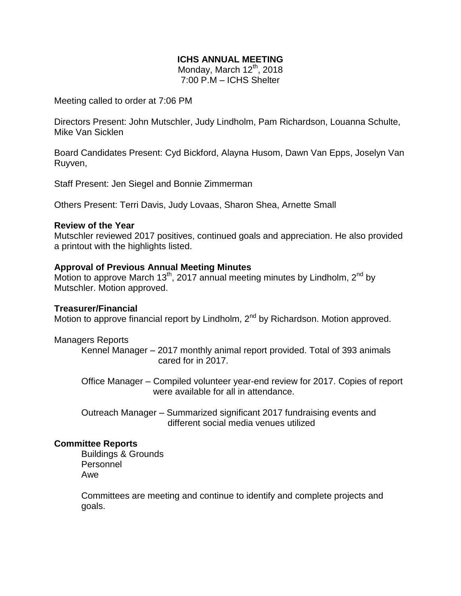# **ICHS ANNUAL MEETING**

Monday, March  $12^{th}$ , 2018 7:00 P.M – ICHS Shelter

Meeting called to order at 7:06 PM

Directors Present: John Mutschler, Judy Lindholm, Pam Richardson, Louanna Schulte, Mike Van Sicklen

Board Candidates Present: Cyd Bickford, Alayna Husom, Dawn Van Epps, Joselyn Van Ruyven,

Staff Present: Jen Siegel and Bonnie Zimmerman

Others Present: Terri Davis, Judy Lovaas, Sharon Shea, Arnette Small

#### **Review of the Year**

Mutschler reviewed 2017 positives, continued goals and appreciation. He also provided a printout with the highlights listed.

### **Approval of Previous Annual Meeting Minutes**

Motion to approve March 13<sup>th</sup>, 2017 annual meeting minutes by Lindholm, 2<sup>nd</sup> by Mutschler. Motion approved.

### **Treasurer/Financial**

Motion to approve financial report by Lindholm,  $2<sup>nd</sup>$  by Richardson. Motion approved.

Managers Reports

Kennel Manager – 2017 monthly animal report provided. Total of 393 animals cared for in 2017.

Office Manager – Compiled volunteer year-end review for 2017. Copies of report were available for all in attendance.

Outreach Manager – Summarized significant 2017 fundraising events and different social media venues utilized

## **Committee Reports**

Buildings & Grounds Personnel Awe

Committees are meeting and continue to identify and complete projects and goals.